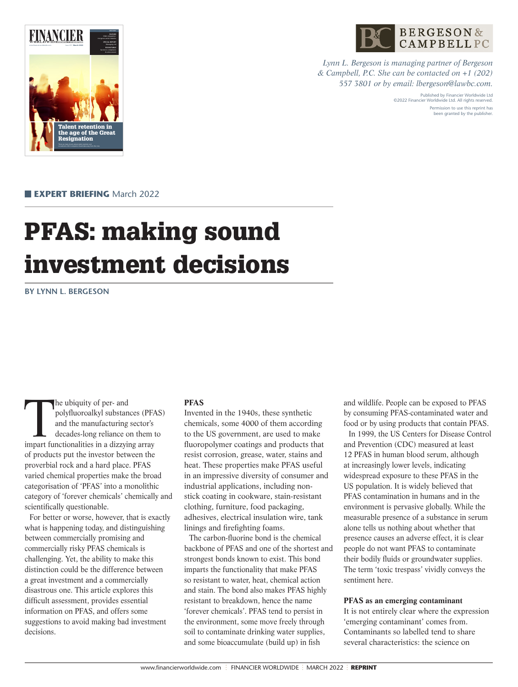

**BERGESON&** CAMPBELLPC

*Lynn L. Bergeson is managing partner of Bergeson & Campbell, P.C. She can be contacted on +1 (202) 557 3801 or by email: lbergeson@lawbc.com.*

> Published by Financier Worldwide Ltd ©2022 Financier Worldwide Ltd. All rights reserved. Permission to use this reprint has been granted by the publisher.

**EXPERT BRIEFING** March 2022

# PFAS: making sound investment decisions

**BY LYNN L. BERGESON**

The ubiquity of per- and<br>polyfluoroalkyl substant<br>and the manufacturing<br>decades-long reliance of<br>impart functionalities in a dizzylin polyfluoroalkyl substances (PFAS) and the manufacturing sector's decades-long reliance on them to impart functionalities in a dizzying array of products put the investor between the proverbial rock and a hard place. PFAS varied chemical properties make the broad categorisation of 'PFAS' into a monolithic category of 'forever chemicals' chemically and scientifically questionable.

For better or worse, however, that is exactly what is happening today, and distinguishing between commercially promising and commercially risky PFAS chemicals is challenging. Yet, the ability to make this distinction could be the difference between a great investment and a commercially disastrous one. This article explores this difficult assessment, provides essential information on PFAS, and offers some suggestions to avoid making bad investment decisions.

## **PFAS**

Invented in the 1940s, these synthetic chemicals, some 4000 of them according to the US government, are used to make fluoropolymer coatings and products that resist corrosion, grease, water, stains and heat. These properties make PFAS useful in an impressive diversity of consumer and industrial applications, including nonstick coating in cookware, stain-resistant clothing, furniture, food packaging, adhesives, electrical insulation wire, tank linings and firefighting foams.

The carbon-fluorine bond is the chemical backbone of PFAS and one of the shortest and strongest bonds known to exist. This bond imparts the functionality that make PFAS so resistant to water, heat, chemical action and stain. The bond also makes PFAS highly resistant to breakdown, hence the name 'forever chemicals'. PFAS tend to persist in the environment, some move freely through soil to contaminate drinking water supplies, and some bioaccumulate (build up) in fish

and wildlife. People can be exposed to PFAS by consuming PFAS-contaminated water and food or by using products that contain PFAS. In 1999, the US Centers for Disease Control and Prevention (CDC) measured at least 12 PFAS in human blood serum, although at increasingly lower levels, indicating widespread exposure to these PFAS in the US population. It is widely believed that PFAS contamination in humans and in the environment is pervasive globally. While the measurable presence of a substance in serum alone tells us nothing about whether that presence causes an adverse effect, it is clear people do not want PFAS to contaminate their bodily fluids or groundwater supplies. The term 'toxic trespass' vividly conveys the sentiment here.

### **PFAS as an emerging contaminant**

It is not entirely clear where the expression 'emerging contaminant' comes from. Contaminants so labelled tend to share several characteristics: the science on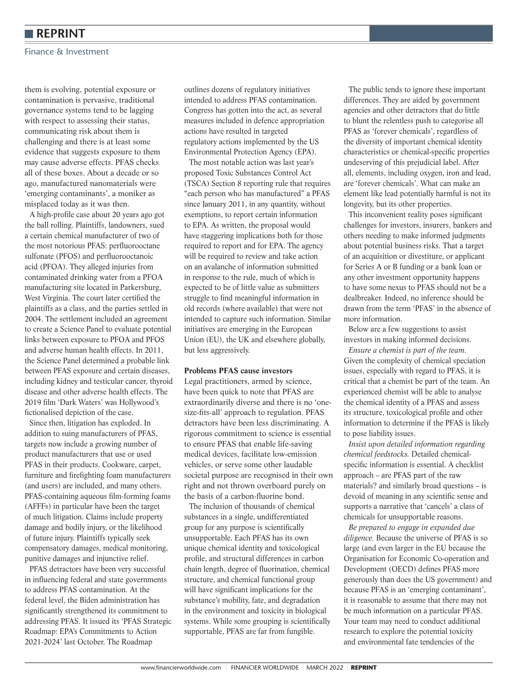## **REPRINT**

#### Finance & Investment

them is evolving, potential exposure or contamination is pervasive, traditional governance systems tend to be lagging with respect to assessing their status, communicating risk about them is challenging and there is at least some evidence that suggests exposure to them may cause adverse effects. PFAS checks all of these boxes. About a decade or so ago, manufactured nanomaterials were 'emerging contaminants', a moniker as misplaced today as it was then.

A high-profile case about 20 years ago got the ball rolling. Plaintiffs, landowners, sued a certain chemical manufacturer of two of the most notorious PFAS: perfluorooctane sulfonate (PFOS) and perfluorooctanoic acid (PFOA). They alleged injuries from contaminated drinking water from a PFOA manufacturing site located in Parkersburg, West Virginia. The court later certified the plaintiffs as a class, and the parties settled in 2004. The settlement included an agreement to create a Science Panel to evaluate potential links between exposure to PFOA and PFOS and adverse human health effects. In 2011, the Science Panel determined a probable link between PFAS exposure and certain diseases, including kidney and testicular cancer, thyroid disease and other adverse health effects. The 2019 film 'Dark Waters' was Hollywood's fictionalised depiction of the case.

Since then, litigation has exploded. In addition to suing manufacturers of PFAS, targets now include a growing number of product manufacturers that use or used PFAS in their products. Cookware, carpet, furniture and firefighting foam manufacturers (and users) are included, and many others. PFAS-containing aqueous film-forming foams (AFFFs) in particular have been the target of much litigation. Claims include property damage and bodily injury, or the likelihood of future injury. Plaintiffs typically seek compensatory damages, medical monitoring, punitive damages and injunctive relief.

PFAS detractors have been very successful in influencing federal and state governments to address PFAS contamination. At the federal level, the Biden administration has significantly strengthened its commitment to addressing PFAS. It issued its 'PFAS Strategic Roadmap: EPA's Commitments to Action 2021-2024' last October. The Roadmap

outlines dozens of regulatory initiatives intended to address PFAS contamination. Congress has gotten into the act, as several measures included in defence appropriation actions have resulted in targeted regulatory actions implemented by the US Environmental Protection Agency (EPA).

The most notable action was last year's proposed Toxic Substances Control Act (TSCA) Section 8 reporting rule that requires "each person who has manufactured" a PFAS since January 2011, in any quantity, without exemptions, to report certain information to EPA. As written, the proposal would have staggering implications both for those required to report and for EPA. The agency will be required to review and take action on an avalanche of information submitted in response to the rule, much of which is expected to be of little value as submitters struggle to find meaningful information in old records (where available) that were not intended to capture such information. Similar initiatives are emerging in the European Union (EU), the UK and elsewhere globally, but less aggressively.

#### **Problems PFAS cause investors**

Legal practitioners, armed by science, have been quick to note that PFAS are extraordinarily diverse and there is no 'onesize-fits-all' approach to regulation. PFAS detractors have been less discriminating. A rigorous commitment to science is essential to ensure PFAS that enable life-saving medical devices, facilitate low-emission vehicles, or serve some other laudable societal purpose are recognised in their own right and not thrown overboard purely on the basis of a carbon-fluorine bond.

The inclusion of thousands of chemical substances in a single, undifferentiated group for any purpose is scientifically unsupportable. Each PFAS has its own unique chemical identity and toxicological profile, and structural differences in carbon chain length, degree of fluorination, chemical structure, and chemical functional group will have significant implications for the substance's mobility, fate, and degradation in the environment and toxicity in biological systems. While some grouping is scientifically supportable, PFAS are far from fungible.

The public tends to ignore these important differences. They are aided by government agencies and other detractors that do little to blunt the relentless push to categorise all PFAS as 'forever chemicals', regardless of the diversity of important chemical identity characteristics or chemical-specific properties undeserving of this prejudicial label. After all, elements, including oxygen, iron and lead, are 'forever chemicals'. What can make an element like lead potentially harmful is not its longevity, but its other properties.

This inconvenient reality poses significant challenges for investors, insurers, bankers and others needing to make informed judgments about potential business risks. That a target of an acquisition or divestiture, or applicant for Series A or B funding or a bank loan or any other investment opportunity happens to have some nexus to PFAS should not be a dealbreaker. Indeed, no inference should be drawn from the term 'PFAS' in the absence of more information.

Below are a few suggestions to assist investors in making informed decisions.

*Ensure a chemist is part of the team.*  Given the complexity of chemical speciation issues, especially with regard to PFAS, it is critical that a chemist be part of the team. An experienced chemist will be able to analyse the chemical identity of a PFAS and assess its structure, toxicological profile and other information to determine if the PFAS is likely to pose liability issues.

*Insist upon detailed information regarding chemical feedstocks.* Detailed chemicalspecific information is essential. A checklist approach – are PFAS part of the raw materials? and similarly broad questions – is devoid of meaning in any scientific sense and supports a narrative that 'cancels' a class of chemicals for unsupportable reasons.

*Be prepared to engage in expanded due diligence.* Because the universe of PFAS is so large (and even larger in the EU because the Organisation for Economic Co-operation and Development (OECD) defines PFAS more generously than does the US government) and because PFAS is an 'emerging contaminant', it is reasonable to assume that there may not be much information on a particular PFAS. Your team may need to conduct additional research to explore the potential toxicity and environmental fate tendencies of the